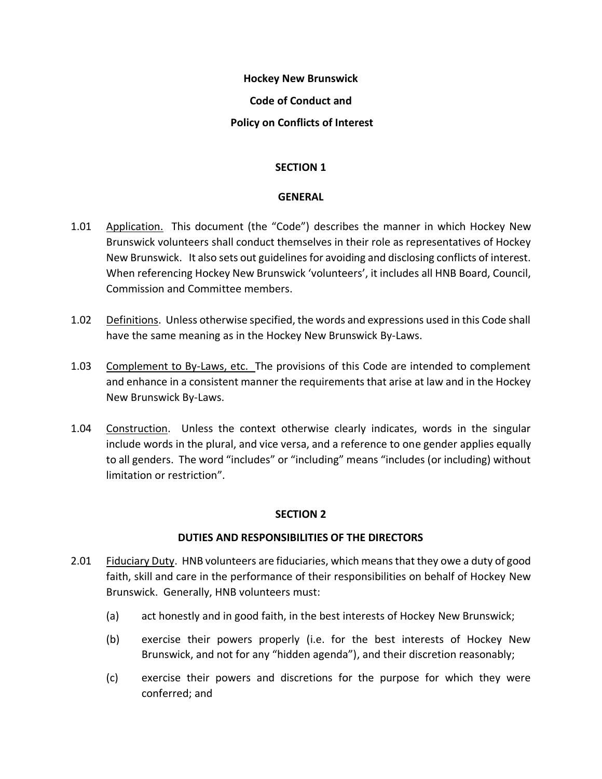#### **Hockey New Brunswick**

## **Code of Conduct and**

## **Policy on Conflicts of Interest**

## **SECTION 1**

## **GENERAL**

- 1.01 Application. This document (the "Code") describes the manner in which Hockey New Brunswick volunteers shall conduct themselves in their role as representatives of Hockey New Brunswick. It also sets out guidelines for avoiding and disclosing conflicts of interest. When referencing Hockey New Brunswick 'volunteers', it includes all HNB Board, Council, Commission and Committee members.
- 1.02 Definitions. Unless otherwise specified, the words and expressions used in this Code shall have the same meaning as in the Hockey New Brunswick By-Laws.
- 1.03 Complement to By-Laws, etc. The provisions of this Code are intended to complement and enhance in a consistent manner the requirements that arise at law and in the Hockey New Brunswick By-Laws.
- 1.04 Construction. Unless the context otherwise clearly indicates, words in the singular include words in the plural, and vice versa, and a reference to one gender applies equally to all genders. The word "includes" or "including" means "includes (or including) without limitation or restriction".

## **SECTION 2**

## **DUTIES AND RESPONSIBILITIES OF THE DIRECTORS**

- 2.01 Fiduciary Duty. HNB volunteers are fiduciaries, which means that they owe a duty of good faith, skill and care in the performance of their responsibilities on behalf of Hockey New Brunswick. Generally, HNB volunteers must:
	- (a) act honestly and in good faith, in the best interests of Hockey New Brunswick;
	- (b) exercise their powers properly (i.e. for the best interests of Hockey New Brunswick, and not for any "hidden agenda"), and their discretion reasonably;
	- (c) exercise their powers and discretions for the purpose for which they were conferred; and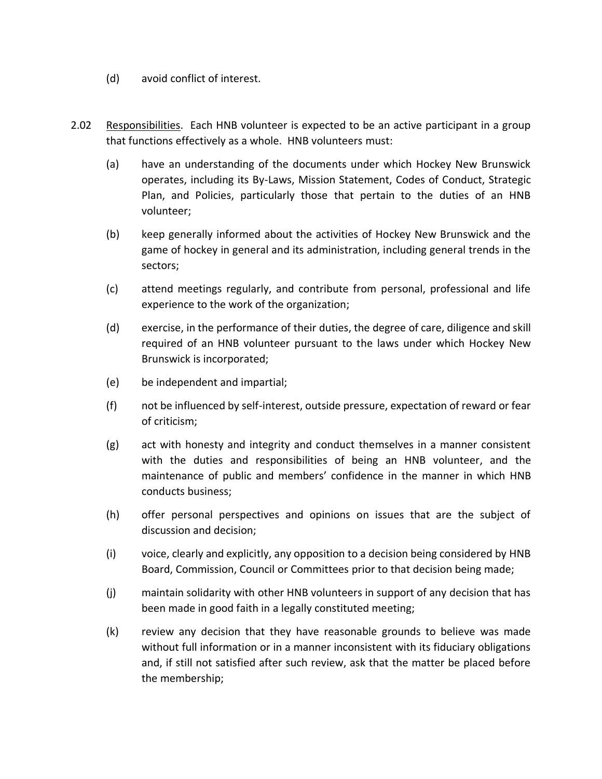- (d) avoid conflict of interest.
- 2.02 Responsibilities. Each HNB volunteer is expected to be an active participant in a group that functions effectively as a whole. HNB volunteers must:
	- (a) have an understanding of the documents under which Hockey New Brunswick operates, including its By-Laws, Mission Statement, Codes of Conduct, Strategic Plan, and Policies, particularly those that pertain to the duties of an HNB volunteer;
	- (b) keep generally informed about the activities of Hockey New Brunswick and the game of hockey in general and its administration, including general trends in the sectors;
	- (c) attend meetings regularly, and contribute from personal, professional and life experience to the work of the organization;
	- (d) exercise, in the performance of their duties, the degree of care, diligence and skill required of an HNB volunteer pursuant to the laws under which Hockey New Brunswick is incorporated;
	- (e) be independent and impartial;
	- (f) not be influenced by self-interest, outside pressure, expectation of reward or fear of criticism;
	- (g) act with honesty and integrity and conduct themselves in a manner consistent with the duties and responsibilities of being an HNB volunteer, and the maintenance of public and members' confidence in the manner in which HNB conducts business;
	- (h) offer personal perspectives and opinions on issues that are the subject of discussion and decision;
	- (i) voice, clearly and explicitly, any opposition to a decision being considered by HNB Board, Commission, Council or Committees prior to that decision being made;
	- (j) maintain solidarity with other HNB volunteers in support of any decision that has been made in good faith in a legally constituted meeting;
	- (k) review any decision that they have reasonable grounds to believe was made without full information or in a manner inconsistent with its fiduciary obligations and, if still not satisfied after such review, ask that the matter be placed before the membership;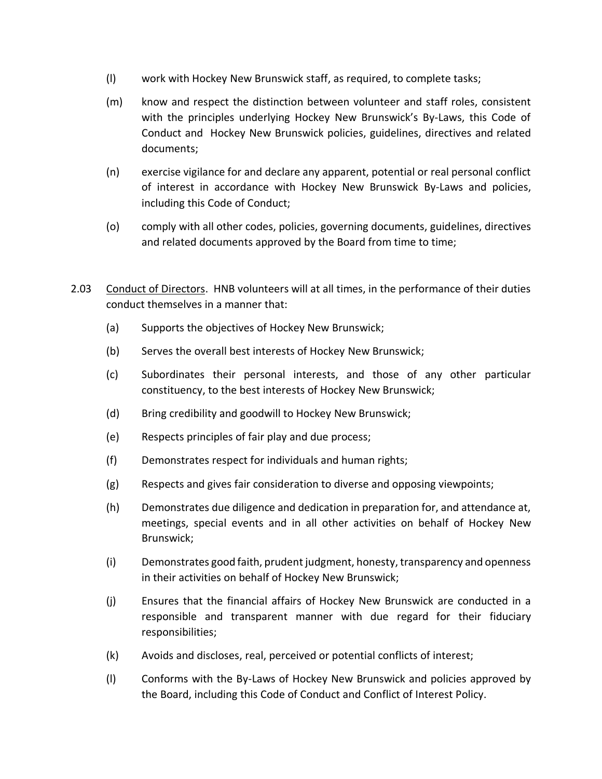- (l) work with Hockey New Brunswick staff, as required, to complete tasks;
- (m) know and respect the distinction between volunteer and staff roles, consistent with the principles underlying Hockey New Brunswick's By-Laws, this Code of Conduct and Hockey New Brunswick policies, guidelines, directives and related documents;
- (n) exercise vigilance for and declare any apparent, potential or real personal conflict of interest in accordance with Hockey New Brunswick By-Laws and policies, including this Code of Conduct;
- (o) comply with all other codes, policies, governing documents, guidelines, directives and related documents approved by the Board from time to time;
- 2.03 Conduct of Directors. HNB volunteers will at all times, in the performance of their duties conduct themselves in a manner that:
	- (a) Supports the objectives of Hockey New Brunswick;
	- (b) Serves the overall best interests of Hockey New Brunswick;
	- (c) Subordinates their personal interests, and those of any other particular constituency, to the best interests of Hockey New Brunswick;
	- (d) Bring credibility and goodwill to Hockey New Brunswick;
	- (e) Respects principles of fair play and due process;
	- (f) Demonstrates respect for individuals and human rights;
	- (g) Respects and gives fair consideration to diverse and opposing viewpoints;
	- (h) Demonstrates due diligence and dedication in preparation for, and attendance at, meetings, special events and in all other activities on behalf of Hockey New Brunswick;
	- (i) Demonstrates good faith, prudent judgment, honesty, transparency and openness in their activities on behalf of Hockey New Brunswick;
	- (j) Ensures that the financial affairs of Hockey New Brunswick are conducted in a responsible and transparent manner with due regard for their fiduciary responsibilities;
	- (k) Avoids and discloses, real, perceived or potential conflicts of interest;
	- (l) Conforms with the By-Laws of Hockey New Brunswick and policies approved by the Board, including this Code of Conduct and Conflict of Interest Policy.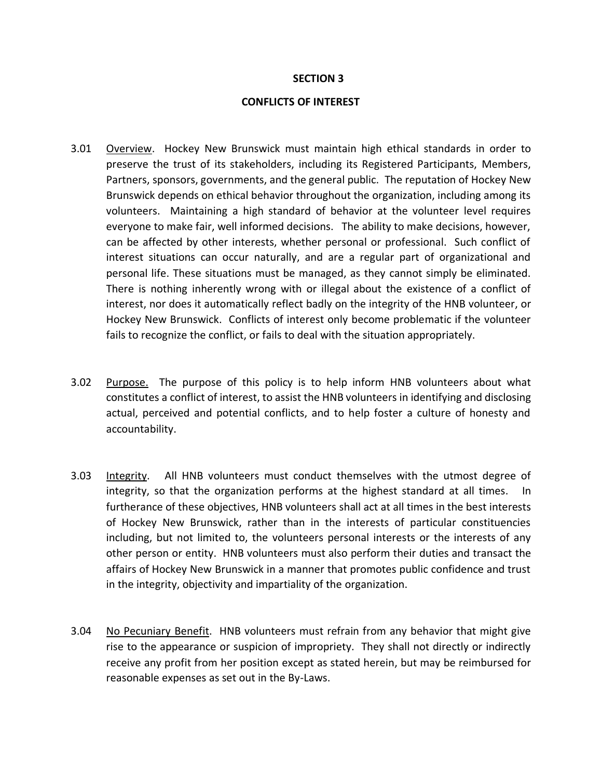#### **SECTION 3**

#### **CONFLICTS OF INTEREST**

- 3.01 Overview. Hockey New Brunswick must maintain high ethical standards in order to preserve the trust of its stakeholders, including its Registered Participants, Members, Partners, sponsors, governments, and the general public. The reputation of Hockey New Brunswick depends on ethical behavior throughout the organization, including among its volunteers. Maintaining a high standard of behavior at the volunteer level requires everyone to make fair, well informed decisions. The ability to make decisions, however, can be affected by other interests, whether personal or professional. Such conflict of interest situations can occur naturally, and are a regular part of organizational and personal life. These situations must be managed, as they cannot simply be eliminated. There is nothing inherently wrong with or illegal about the existence of a conflict of interest, nor does it automatically reflect badly on the integrity of the HNB volunteer, or Hockey New Brunswick. Conflicts of interest only become problematic if the volunteer fails to recognize the conflict, or fails to deal with the situation appropriately.
- 3.02 Purpose. The purpose of this policy is to help inform HNB volunteers about what constitutes a conflict of interest, to assist the HNB volunteers in identifying and disclosing actual, perceived and potential conflicts, and to help foster a culture of honesty and accountability.
- 3.03 Integrity. All HNB volunteers must conduct themselves with the utmost degree of integrity, so that the organization performs at the highest standard at all times. In furtherance of these objectives, HNB volunteers shall act at all times in the best interests of Hockey New Brunswick, rather than in the interests of particular constituencies including, but not limited to, the volunteers personal interests or the interests of any other person or entity. HNB volunteers must also perform their duties and transact the affairs of Hockey New Brunswick in a manner that promotes public confidence and trust in the integrity, objectivity and impartiality of the organization.
- 3.04 No Pecuniary Benefit. HNB volunteers must refrain from any behavior that might give rise to the appearance or suspicion of impropriety. They shall not directly or indirectly receive any profit from her position except as stated herein, but may be reimbursed for reasonable expenses as set out in the By-Laws.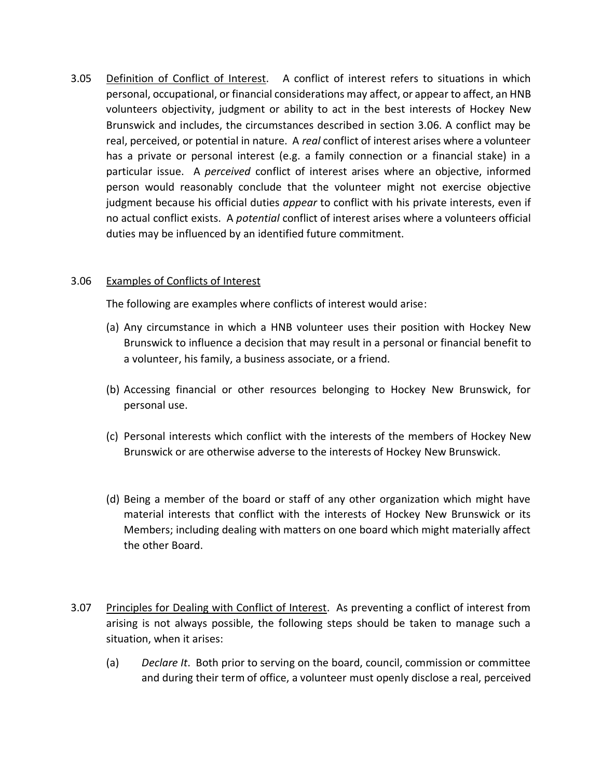3.05 Definition of Conflict of Interest. A conflict of interest refers to situations in which personal, occupational, or financial considerations may affect, or appear to affect, an HNB volunteers objectivity, judgment or ability to act in the best interests of Hockey New Brunswick and includes, the circumstances described in section 3.06. A conflict may be real, perceived, or potential in nature. A *real* conflict of interest arises where a volunteer has a private or personal interest (e.g. a family connection or a financial stake) in a particular issue. A *perceived* conflict of interest arises where an objective, informed person would reasonably conclude that the volunteer might not exercise objective judgment because his official duties *appear* to conflict with his private interests, even if no actual conflict exists. A *potential* conflict of interest arises where a volunteers official duties may be influenced by an identified future commitment.

## 3.06 Examples of Conflicts of Interest

The following are examples where conflicts of interest would arise:

- (a) Any circumstance in which a HNB volunteer uses their position with Hockey New Brunswick to influence a decision that may result in a personal or financial benefit to a volunteer, his family, a business associate, or a friend.
- (b) Accessing financial or other resources belonging to Hockey New Brunswick, for personal use.
- (c) Personal interests which conflict with the interests of the members of Hockey New Brunswick or are otherwise adverse to the interests of Hockey New Brunswick.
- (d) Being a member of the board or staff of any other organization which might have material interests that conflict with the interests of Hockey New Brunswick or its Members; including dealing with matters on one board which might materially affect the other Board.
- 3.07 Principles for Dealing with Conflict of Interest. As preventing a conflict of interest from arising is not always possible, the following steps should be taken to manage such a situation, when it arises:
	- (a) *Declare It*. Both prior to serving on the board, council, commission or committee and during their term of office, a volunteer must openly disclose a real, perceived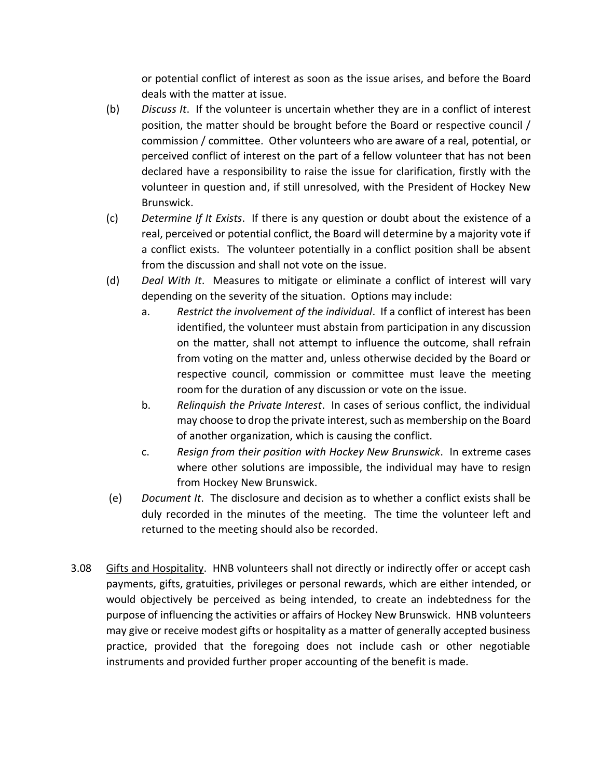or potential conflict of interest as soon as the issue arises, and before the Board deals with the matter at issue.

- (b) *Discuss It*. If the volunteer is uncertain whether they are in a conflict of interest position, the matter should be brought before the Board or respective council / commission / committee. Other volunteers who are aware of a real, potential, or perceived conflict of interest on the part of a fellow volunteer that has not been declared have a responsibility to raise the issue for clarification, firstly with the volunteer in question and, if still unresolved, with the President of Hockey New Brunswick.
- (c) *Determine If It Exists*. If there is any question or doubt about the existence of a real, perceived or potential conflict, the Board will determine by a majority vote if a conflict exists. The volunteer potentially in a conflict position shall be absent from the discussion and shall not vote on the issue.
- (d) *Deal With It*. Measures to mitigate or eliminate a conflict of interest will vary depending on the severity of the situation. Options may include:
	- a. *Restrict the involvement of the individual*. If a conflict of interest has been identified, the volunteer must abstain from participation in any discussion on the matter, shall not attempt to influence the outcome, shall refrain from voting on the matter and, unless otherwise decided by the Board or respective council, commission or committee must leave the meeting room for the duration of any discussion or vote on the issue.
	- b. *Relinquish the Private Interest*. In cases of serious conflict, the individual may choose to drop the private interest, such as membership on the Board of another organization, which is causing the conflict.
	- c. *Resign from their position with Hockey New Brunswick*. In extreme cases where other solutions are impossible, the individual may have to resign from Hockey New Brunswick.
- (e) *Document It*. The disclosure and decision as to whether a conflict exists shall be duly recorded in the minutes of the meeting. The time the volunteer left and returned to the meeting should also be recorded.
- 3.08 Gifts and Hospitality. HNB volunteers shall not directly or indirectly offer or accept cash payments, gifts, gratuities, privileges or personal rewards, which are either intended, or would objectively be perceived as being intended, to create an indebtedness for the purpose of influencing the activities or affairs of Hockey New Brunswick. HNB volunteers may give or receive modest gifts or hospitality as a matter of generally accepted business practice, provided that the foregoing does not include cash or other negotiable instruments and provided further proper accounting of the benefit is made.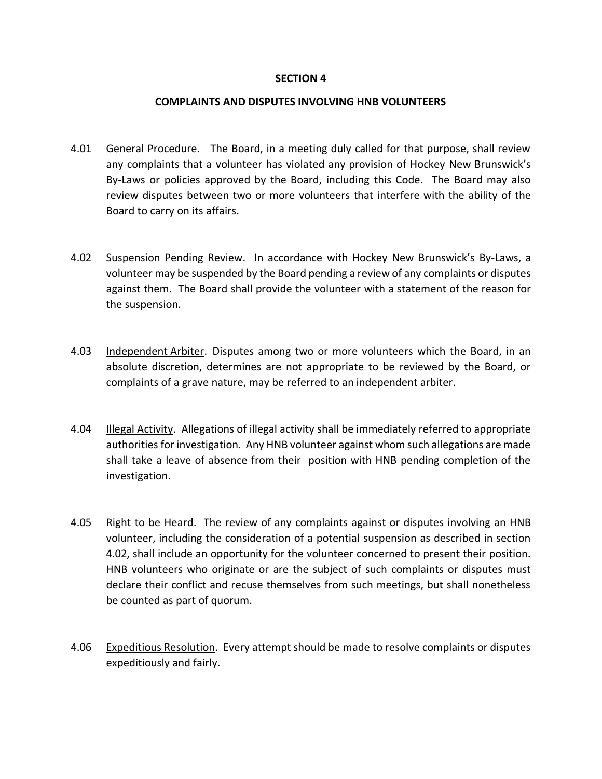#### **SECTION 4**

#### **COMPLAINTS AND DISPUTES INVOLVING HNB VOLUNTEERS**

- 4.01 General Procedure. The Board, in a meeting duly called for that purpose, shall review any complaints that a volunteer has violated any provision of Hockey New Brunswick's By-Laws or policies approved by the Board, including this Code. The Board may also review disputes between two or more volunteers that interfere with the ability of the Board to carry on its affairs.
- 4.02 Suspension Pending Review. In accordance with Hockey New Brunswick's By-Laws, a volunteer may be suspended by the Board pending a review of any complaints or disputes against them. The Board shall provide the volunteer with a statement of the reason for the suspension.
- 4.03 Independent Arbiter. Disputes among two or more volunteers which the Board, in an absolute discretion, determines are not appropriate to be reviewed by the Board, or complaints of a grave nature, may be referred to an independent arbiter.
- 4.04 Illegal Activity. Allegations of illegal activity shall be immediately referred to appropriate authorities for investigation. Any HNB volunteer against whom such allegations are made shall take a leave of absence from their position with HNB pending completion of the investigation.
- 4.05 Right to be Heard. The review of any complaints against or disputes involving an HNB volunteer, including the consideration of a potential suspension as described in section 4.02, shall include an opportunity for the volunteer concerned to present their position. HNB volunteers who originate or are the subject of such complaints or disputes must declare their conflict and recuse themselves from such meetings, but shall nonetheless be counted as part of quorum.
- 4.06 Expeditious Resolution. Every attempt should be made to resolve complaints or disputes expeditiously and fairly.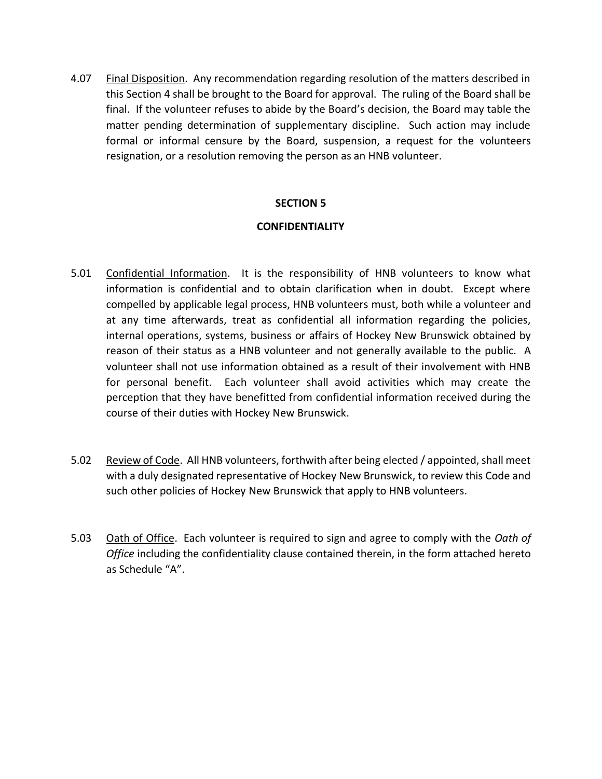4.07 Final Disposition. Any recommendation regarding resolution of the matters described in this Section 4 shall be brought to the Board for approval. The ruling of the Board shall be final. If the volunteer refuses to abide by the Board's decision, the Board may table the matter pending determination of supplementary discipline. Such action may include formal or informal censure by the Board, suspension, a request for the volunteers resignation, or a resolution removing the person as an HNB volunteer.

## **SECTION 5**

## **CONFIDENTIALITY**

- 5.01 Confidential Information. It is the responsibility of HNB volunteers to know what information is confidential and to obtain clarification when in doubt. Except where compelled by applicable legal process, HNB volunteers must, both while a volunteer and at any time afterwards, treat as confidential all information regarding the policies, internal operations, systems, business or affairs of Hockey New Brunswick obtained by reason of their status as a HNB volunteer and not generally available to the public. A volunteer shall not use information obtained as a result of their involvement with HNB for personal benefit. Each volunteer shall avoid activities which may create the perception that they have benefitted from confidential information received during the course of their duties with Hockey New Brunswick.
- 5.02 Review of Code. All HNB volunteers, forthwith after being elected / appointed, shall meet with a duly designated representative of Hockey New Brunswick, to review this Code and such other policies of Hockey New Brunswick that apply to HNB volunteers.
- 5.03 Oath of Office. Each volunteer is required to sign and agree to comply with the *Oath of Office* including the confidentiality clause contained therein, in the form attached hereto as Schedule "A".